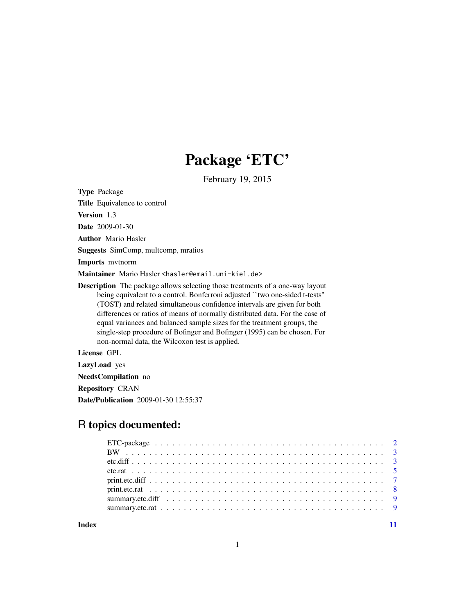# Package 'ETC'

February 19, 2015

Type Package

Title Equivalence to control

Version 1.3

Date 2009-01-30

Author Mario Hasler

Suggests SimComp, multcomp, mratios

Imports mvtnorm

Maintainer Mario Hasler <hasler@email.uni-kiel.de>

Description The package allows selecting those treatments of a one-way layout being equivalent to a control. Bonferroni adjusted "two one-sided t-tests" (TOST) and related simultaneous confidence intervals are given for both differences or ratios of means of normally distributed data. For the case of equal variances and balanced sample sizes for the treatment groups, the single-step procedure of Bofinger and Bofinger (1995) can be chosen. For non-normal data, the Wilcoxon test is applied.

License GPL

LazyLoad yes

NeedsCompilation no

Repository CRAN

Date/Publication 2009-01-30 12:55:37

# R topics documented:

**Index** [11](#page-10-0)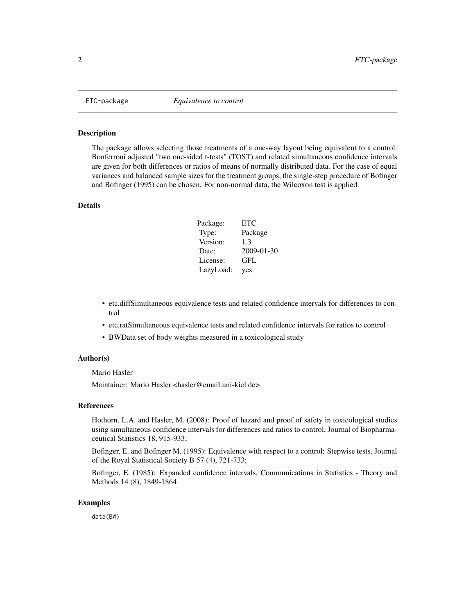<span id="page-1-0"></span>

#### Description

The package allows selecting those treatments of a one-way layout being equivalent to a control. Bonferroni adjusted "two one-sided t-tests" (TOST) and related simultaneous confidence intervals are given for both differences or ratios of means of normally distributed data. For the case of equal variances and balanced sample sizes for the treatment groups, the single-step procedure of Bofinger and Bofinger (1995) can be chosen. For non-normal data, the Wilcoxon test is applied.

#### Details

| Package:  | ETC        |
|-----------|------------|
| Type:     | Package    |
| Version:  | 1.3        |
| Date:     | 2009-01-30 |
| License:  | GPL        |
| LazyLoad: | yes        |

- etc.diffSimultaneous equivalence tests and related confidence intervals for differences to control
- etc.ratSimultaneous equivalence tests and related confidence intervals for ratios to control
- BWData set of body weights measured in a toxicological study

#### Author(s)

Mario Hasler

Maintainer: Mario Hasler <hasler@email.uni-kiel.de>

#### References

Hothorn, L.A. and Hasler, M. (2008): Proof of hazard and proof of safety in toxicological studies using simultaneous confidence intervals for differences and ratios to control, Journal of Biopharmaceutical Statistics 18, 915-933;

Bofinger, E. and Bofinger M. (1995): Equivalence with respect to a control: Stepwise tests, Journal of the Royal Statistical Society B 57 (4), 721-733;

Bofinger, E. (1985): Expanded confidence intervals, Communications in Statistics - Theory and Methods 14 (8), 1849-1864

#### Examples

data(BW)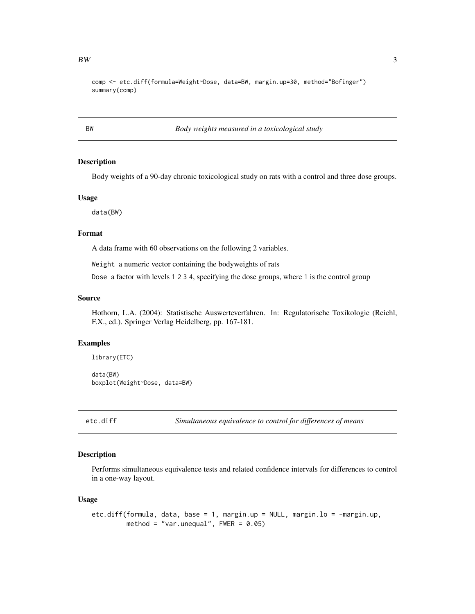<span id="page-2-0"></span>comp <- etc.diff(formula=Weight~Dose, data=BW, margin.up=30, method="Bofinger") summary(comp)

BW *Body weights measured in a toxicological study*

#### Description

Body weights of a 90-day chronic toxicological study on rats with a control and three dose groups.

#### Usage

data(BW)

#### Format

A data frame with 60 observations on the following 2 variables.

Weight a numeric vector containing the bodyweights of rats

Dose a factor with levels 1 2 3 4, specifying the dose groups, where 1 is the control group

#### Source

Hothorn, L.A. (2004): Statistische Auswerteverfahren. In: Regulatorische Toxikologie (Reichl, F.X., ed.). Springer Verlag Heidelberg, pp. 167-181.

#### Examples

```
library(ETC)
data(BW)
boxplot(Weight~Dose, data=BW)
```
<span id="page-2-1"></span>etc.diff *Simultaneous equivalence to control for differences of means*

#### Description

Performs simultaneous equivalence tests and related confidence intervals for differences to control in a one-way layout.

#### Usage

```
etc.diff(formula, data, base = 1, margin.up = NULL, margin.lo = -margin.up,
         method = "var.unequal", FWER = 0.05)
```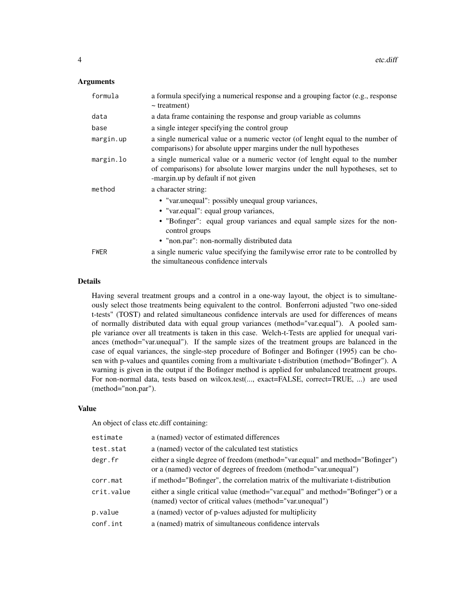#### Arguments

| formula     | a formula specifying a numerical response and a grouping factor (e.g., response<br>$\sim$ treatment)                                                                                                                                                          |
|-------------|---------------------------------------------------------------------------------------------------------------------------------------------------------------------------------------------------------------------------------------------------------------|
| data        | a data frame containing the response and group variable as columns                                                                                                                                                                                            |
| base        | a single integer specifying the control group                                                                                                                                                                                                                 |
| margin.up   | a single numerical value or a numeric vector (of lenght equal to the number of<br>comparisons) for absolute upper margins under the null hypotheses                                                                                                           |
| margin.lo   | a single numerical value or a numeric vector (of lenght equal to the number<br>of comparisons) for absolute lower margins under the null hypotheses, set to<br>-margin.up by default if not given                                                             |
| method      | a character string:<br>• "var.unequal": possibly unequal group variances,<br>• "var.equal": equal group variances,<br>• "Bofinger": equal group variances and equal sample sizes for the non-<br>control groups<br>• "non.par": non-normally distributed data |
| <b>FWER</b> | a single numeric value specifying the family wise error rate to be controlled by<br>the simultaneous confidence intervals                                                                                                                                     |

# Details

Having several treatment groups and a control in a one-way layout, the object is to simultaneously select those treatments being equivalent to the control. Bonferroni adjusted "two one-sided t-tests" (TOST) and related simultaneous confidence intervals are used for differences of means of normally distributed data with equal group variances (method="var.equal"). A pooled sample variance over all treatments is taken in this case. Welch-t-Tests are applied for unequal variances (method="var.unequal"). If the sample sizes of the treatment groups are balanced in the case of equal variances, the single-step procedure of Bofinger and Bofinger (1995) can be chosen with p-values and quantiles coming from a multivariate t-distribution (method="Bofinger"). A warning is given in the output if the Bofinger method is applied for unbalanced treatment groups. For non-normal data, tests based on wilcox.test(..., exact=FALSE, correct=TRUE, ...) are used (method="non.par").

#### Value

An object of class etc.diff containing:

| a (named) vector of estimated differences                                                                                                        |
|--------------------------------------------------------------------------------------------------------------------------------------------------|
| a (named) vector of the calculated test statistics                                                                                               |
| either a single degree of freedom (method="var.equal" and method="Bofinger")<br>or a (named) vector of degrees of freedom (method="var.unequal") |
| if method="Bofinger", the correlation matrix of the multivariate t-distribution                                                                  |
| either a single critical value (method="var.equal" and method="Bofinger") or a<br>(named) vector of critical values (method="var.unequal")       |
| a (named) vector of p-values adjusted for multiplicity                                                                                           |
| a (named) matrix of simultaneous confidence intervals                                                                                            |
|                                                                                                                                                  |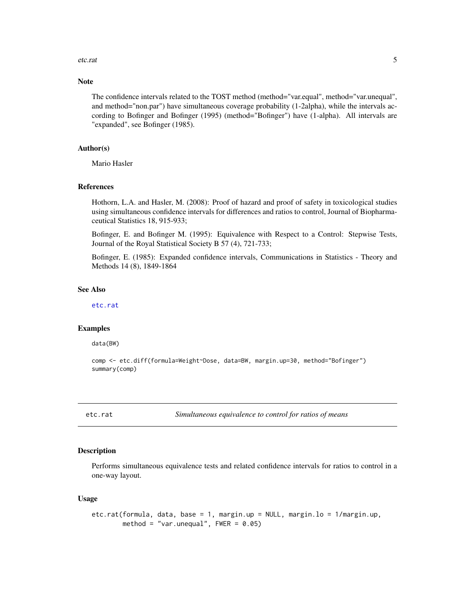#### <span id="page-4-0"></span>etc.rat 5

#### Note

The confidence intervals related to the TOST method (method="var.equal", method="var.unequal", and method="non.par") have simultaneous coverage probability (1-2alpha), while the intervals according to Bofinger and Bofinger (1995) (method="Bofinger") have (1-alpha). All intervals are "expanded", see Bofinger (1985).

#### Author(s)

Mario Hasler

#### References

Hothorn, L.A. and Hasler, M. (2008): Proof of hazard and proof of safety in toxicological studies using simultaneous confidence intervals for differences and ratios to control, Journal of Biopharmaceutical Statistics 18, 915-933;

Bofinger, E. and Bofinger M. (1995): Equivalence with Respect to a Control: Stepwise Tests, Journal of the Royal Statistical Society B 57 (4), 721-733;

Bofinger, E. (1985): Expanded confidence intervals, Communications in Statistics - Theory and Methods 14 (8), 1849-1864

### See Also

[etc.rat](#page-4-1)

#### Examples

data(BW)

```
comp <- etc.diff(formula=Weight~Dose, data=BW, margin.up=30, method="Bofinger")
summary(comp)
```
<span id="page-4-1"></span>etc.rat *Simultaneous equivalence to control for ratios of means*

#### Description

Performs simultaneous equivalence tests and related confidence intervals for ratios to control in a one-way layout.

#### Usage

```
etc.rat(formula, data, base = 1, margin.up = NULL, margin.lo = 1/margin.up,
       method = "var.unequal", FWER = 0.05)
```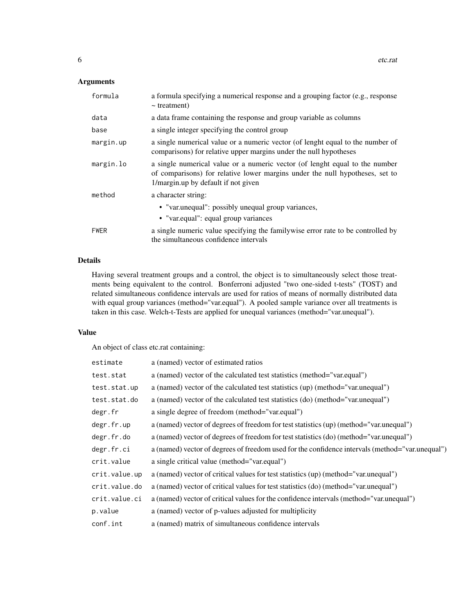# Arguments

| formula     | a formula specifying a numerical response and a grouping factor (e.g., response<br>$\sim$ treatment)                                                                                               |
|-------------|----------------------------------------------------------------------------------------------------------------------------------------------------------------------------------------------------|
| data        | a data frame containing the response and group variable as columns                                                                                                                                 |
| base        | a single integer specifying the control group                                                                                                                                                      |
| margin.up   | a single numerical value or a numeric vector (of lenght equal to the number of<br>comparisons) for relative upper margins under the null hypotheses                                                |
| margin.lo   | a single numerical value or a numeric vector (of lenght equal to the number<br>of comparisons) for relative lower margins under the null hypotheses, set to<br>1/margin.up by default if not given |
| method      | a character string:                                                                                                                                                                                |
|             | • "var.unequal": possibly unequal group variances,<br>• "var.equal": equal group variances                                                                                                         |
| <b>FWER</b> | a single numeric value specifying the familywise error rate to be controlled by<br>the simultaneous confidence intervals                                                                           |

# Details

Having several treatment groups and a control, the object is to simultaneously select those treatments being equivalent to the control. Bonferroni adjusted "two one-sided t-tests" (TOST) and related simultaneous confidence intervals are used for ratios of means of normally distributed data with equal group variances (method="var.equal"). A pooled sample variance over all treatments is taken in this case. Welch-t-Tests are applied for unequal variances (method="var.unequal").

# Value

An object of class etc.rat containing:

| estimate      | a (named) vector of estimated ratios                                                            |
|---------------|-------------------------------------------------------------------------------------------------|
| test.stat     | a (named) vector of the calculated test statistics (method="var.equal")                         |
| test.stat.up  | a (named) vector of the calculated test statistics (up) (method="var.unequal")                  |
| test.stat.do  | a (named) vector of the calculated test statistics (do) (method="var.unequal")                  |
| degr.fr       | a single degree of freedom (method="var.equal")                                                 |
| degr.fr.up    | a (named) vector of degrees of freedom for test statistics (up) (method="var.unequal")          |
| degr.fr.do    | a (named) vector of degrees of freedom for test statistics (do) (method="var.unequal")          |
| degr.fr.ci    | a (named) vector of degrees of freedom used for the confidence intervals (method="var.unequal") |
| crit.value    | a single critical value (method="var.equal")                                                    |
| crit.value.up | a (named) vector of critical values for test statistics (up) (method="var.unequal")             |
| crit.value.do | a (named) vector of critical values for test statistics (do) (method="var.unequal")             |
| crit.value.ci | a (named) vector of critical values for the confidence intervals (method="var.unequal")         |
| p.value       | a (named) vector of p-values adjusted for multiplicity                                          |
| conf.int      | a (named) matrix of simultaneous confidence intervals                                           |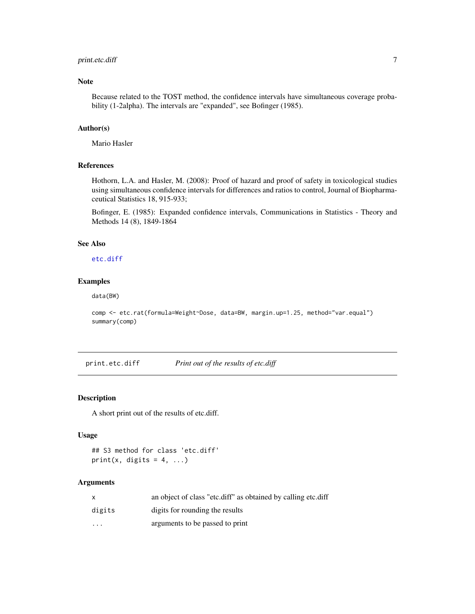# <span id="page-6-0"></span>print.etc.diff 7

#### Note

Because related to the TOST method, the confidence intervals have simultaneous coverage probability (1-2alpha). The intervals are "expanded", see Bofinger (1985).

#### Author(s)

Mario Hasler

#### References

Hothorn, L.A. and Hasler, M. (2008): Proof of hazard and proof of safety in toxicological studies using simultaneous confidence intervals for differences and ratios to control, Journal of Biopharmaceutical Statistics 18, 915-933;

Bofinger, E. (1985): Expanded confidence intervals, Communications in Statistics - Theory and Methods 14 (8), 1849-1864

#### See Also

[etc.diff](#page-2-1)

# Examples

data(BW)

```
comp <- etc.rat(formula=Weight~Dose, data=BW, margin.up=1.25, method="var.equal")
summary(comp)
```
<span id="page-6-1"></span>print.etc.diff *Print out of the results of etc.diff*

#### Description

A short print out of the results of etc.diff.

#### Usage

```
## S3 method for class 'etc.diff'
print(x, digits = 4, ...)
```
#### Arguments

|                   | an object of class "etc.diff" as obtained by calling etc.diff |
|-------------------|---------------------------------------------------------------|
| digits            | digits for rounding the results                               |
| $\cdot\cdot\cdot$ | arguments to be passed to print                               |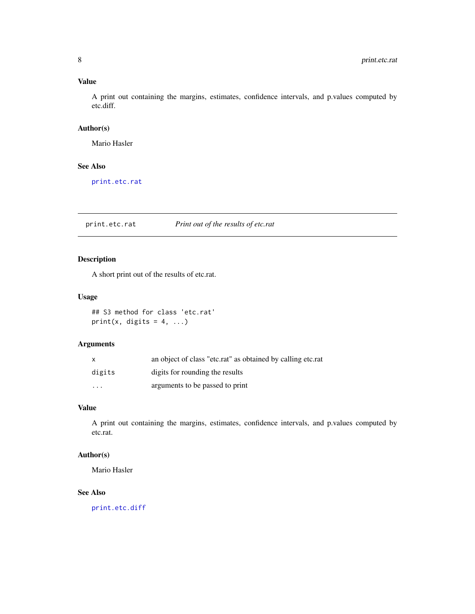# <span id="page-7-0"></span>Value

A print out containing the margins, estimates, confidence intervals, and p.values computed by etc.diff.

#### Author(s)

Mario Hasler

#### See Also

[print.etc.rat](#page-7-1)

<span id="page-7-1"></span>print.etc.rat *Print out of the results of etc.rat*

# Description

A short print out of the results of etc.rat.

#### Usage

## S3 method for class 'etc.rat' print(x, digits =  $4, ...$ )

# Arguments

| $\mathsf{X}$            | an object of class "etc.rat" as obtained by calling etc.rat |
|-------------------------|-------------------------------------------------------------|
| digits                  | digits for rounding the results                             |
| $\cdot$ $\cdot$ $\cdot$ | arguments to be passed to print                             |

# Value

A print out containing the margins, estimates, confidence intervals, and p.values computed by etc.rat.

# Author(s)

Mario Hasler

# See Also

[print.etc.diff](#page-6-1)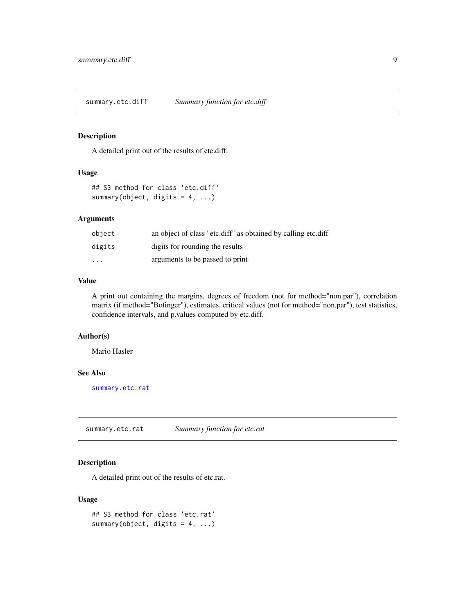<span id="page-8-2"></span><span id="page-8-0"></span>summary.etc.diff *Summary function for etc.diff*

# Description

A detailed print out of the results of etc.diff.

# Usage

```
## S3 method for class 'etc.diff'
summary(object, digits = 4, ...)
```
#### Arguments

| object   | an object of class "etc.diff" as obtained by calling etc.diff |
|----------|---------------------------------------------------------------|
| digits   | digits for rounding the results                               |
| $\cdots$ | arguments to be passed to print                               |

# Value

A print out containing the margins, degrees of freedom (not for method="non.par"), correlation matrix (if method="Bofinger"), estimates, critical values (not for method="non.par"), test statistics, confidence intervals, and p.values computed by etc.diff.

# Author(s)

Mario Hasler

# See Also

[summary.etc.rat](#page-8-1)

<span id="page-8-1"></span>summary.etc.rat *Summary function for etc.rat*

# Description

A detailed print out of the results of etc.rat.

# Usage

```
## S3 method for class 'etc.rat'
summary(object, digits = 4, ...)
```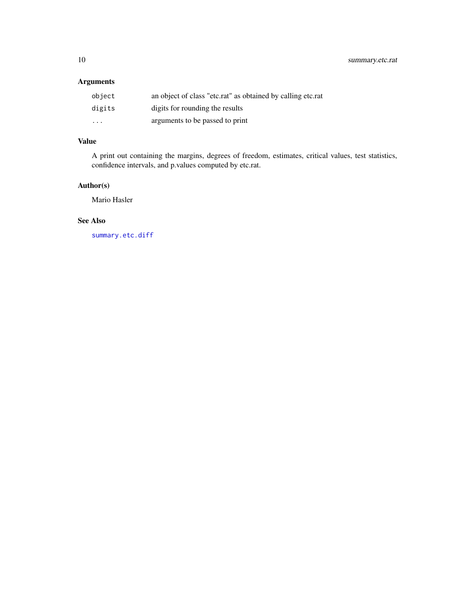<span id="page-9-0"></span>10 summary.etc.rat

# Arguments

| object                  | an object of class "etc.rat" as obtained by calling etc.rat |
|-------------------------|-------------------------------------------------------------|
| digits                  | digits for rounding the results                             |
| $\cdot$ $\cdot$ $\cdot$ | arguments to be passed to print                             |

# Value

A print out containing the margins, degrees of freedom, estimates, critical values, test statistics, confidence intervals, and p.values computed by etc.rat.

# Author(s)

Mario Hasler

# See Also

[summary.etc.diff](#page-8-2)